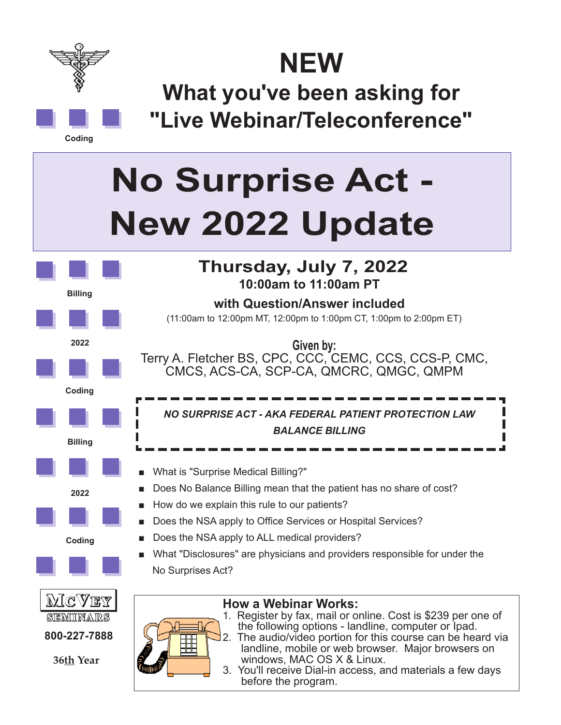

**Coding**

**NEW**

**What you've been asking for "Live Webinar/Teleconference"**

## **No Surprise Act - New 2022 Update**



3. You'll receive Dial-in access, and materials a few days before the program.